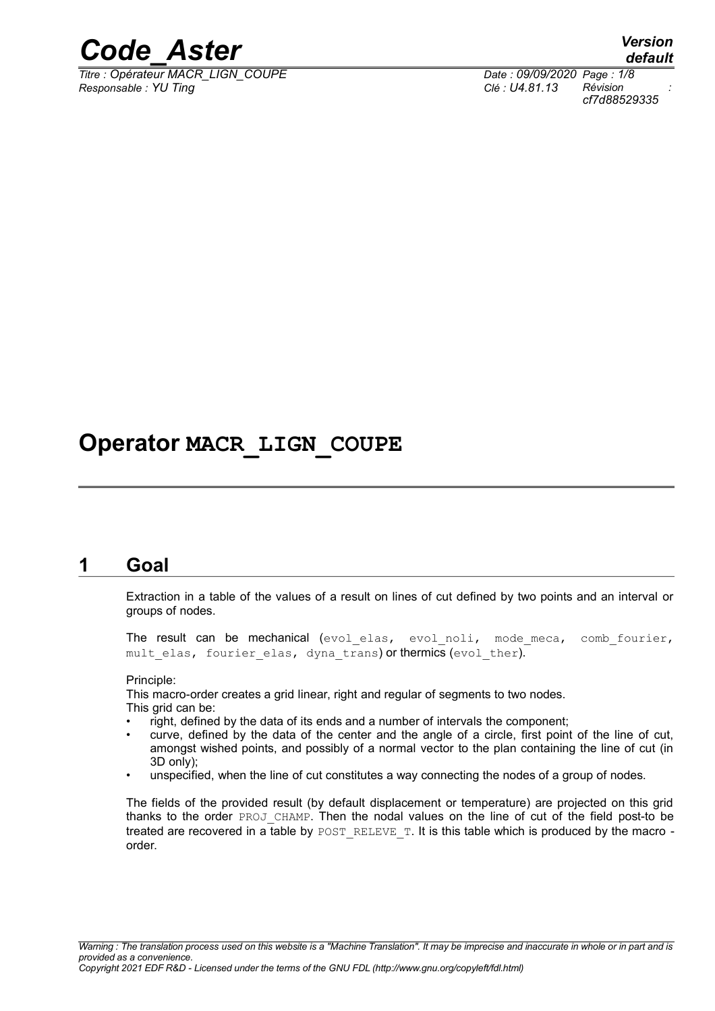

*Titre : Opérateur MACR\_LIGN\_COUPE Date : 09/09/2020 Page : 1/8 Responsable : YU Ting Clé : U4.81.13 Révision :*

## **Operator MACR\_LIGN\_COUPE**

## **1 Goal**

Extraction in a table of the values of a result on lines of cut defined by two points and an interval or groups of nodes.

The result can be mechanical (evol elas, evol noli, mode meca, comb fourier, mult elas, fourier elas, dyna trans) or thermics (evol ther).

Principle:

This macro-order creates a grid linear, right and regular of segments to two nodes. This grid can be:

- right, defined by the data of its ends and a number of intervals the component;
- curve, defined by the data of the center and the angle of a circle, first point of the line of cut, amongst wished points, and possibly of a normal vector to the plan containing the line of cut (in 3D only);
- unspecified, when the line of cut constitutes a way connecting the nodes of a group of nodes.

The fields of the provided result (by default displacement or temperature) are projected on this grid thanks to the order PROJ\_CHAMP. Then the nodal values on the line of cut of the field post-to be treated are recovered in a table by POST\_RELEVE\_T. It is this table which is produced by the macro order.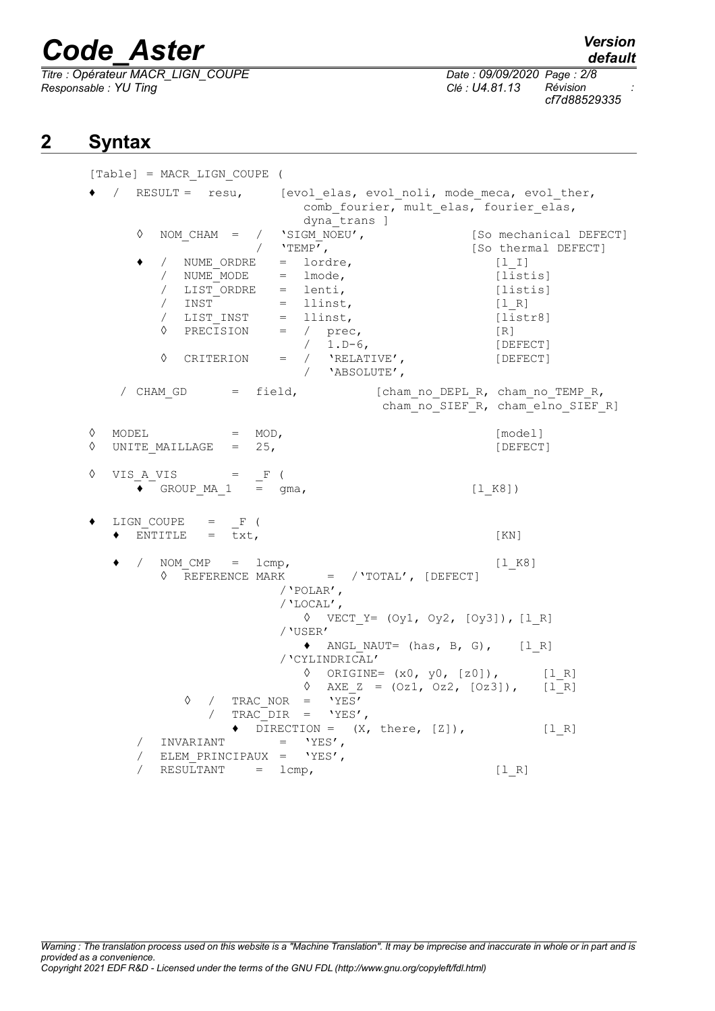*Titre : Opérateur MACR\_LIGN\_COUPE Date : 09/09/2020 Page : 2/8 Responsable : YU Ting Clé : U4.81.13 Révision :*

*cf7d88529335*

## **2 Syntax**

[Table] = MACR\_LIGN\_COUPE ( ♦ / RESULT = resu, [evol\_elas, evol\_noli, mode\_meca, evol\_ther, comb fourier, mult elas, fourier elas, dyna\_trans ]<br>'SIGM NOEU',  $\%$  NOM\_CHAM = / 'SIGM\_NOEU', [So mechanical DEFECT]<br>
/ 'TEMP', [So thermal DEFECT] / 'TEMP',  $[So thermal DEFECT]$ ♦ / NUME\_ORDRE = lordre, [l\_I]  $/$  NUME MODE = lmode,  $[lists]$ / LIST\_ORDRE = lenti, [listis] / INST = llinst, [l\_R] / LIST INST = llinst,  $\sqrt{2}$  [listr8] ◊ PRECISION = / prec, [R] / 1.D-6, [DEFECT] ◊ CRITERION = / 'RELATIVE', [DEFECT] / 'ABSOLUTE', / CHAM GD = field, [cham\_no\_DEPL\_R, cham\_no\_TEMP\_R, cham\_no\_SIEF\_R, cham\_elno\_SIEF\_R]  $\Diamond$  MODEL = MOD,  $[\text{model}]$  $\Diamond$  UNITE MAILLAGE = 25,  $[DEFECT]$  $\Diamond$  VIS A VIS = F ( • GROUP MA  $1 = gma$ , [l K8])  $\bullet$  LIGN COUPE = F (  $\bullet$  ENTITLE = txt,  $[KN]$ NOM  $CMP = lcmp,$  [l K8] ◊ REFERENCE MARK = /'TOTAL', [DEFECT] /'POLAR', /'LOCAL', ◊ VECT\_Y= (Oy1, Oy2, [Oy3]), [l\_R] /'USER'  $\triangleleft$  ANGL\_NAUT= (has, B, G), [l\_R] /'CYLINDRICAL'  $\Diamond$  ORIGINE=  $(x0, y0, [z0])$ ,  $[1_R]$  $\sqrt{2}$  AXE Z = (Oz1, Oz2, [Oz3]), [lR] ◊ / TRAC\_NOR = 'YES' / TRAC\_DIR = 'YES',  $\blacklozenge$  DIRECTION =  $(X, \text{ there}, [Z])$ , [1 R]  $\begin{array}{cccc} / & \text{INVARIANT} & = & \text{YES}\text{'}\text{'}\\ / & \text{ELEM PRINCIPAUX} & = & \text{VFES}\text{'} \end{array}$ ELEM PRINCIPAUX =  $'YES'$ ,  $/$  RESULTANT = lcmp,  $[1 R]$ 

*Warning : The translation process used on this website is a "Machine Translation". It may be imprecise and inaccurate in whole or in part and is provided as a convenience. Copyright 2021 EDF R&D - Licensed under the terms of the GNU FDL (http://www.gnu.org/copyleft/fdl.html)*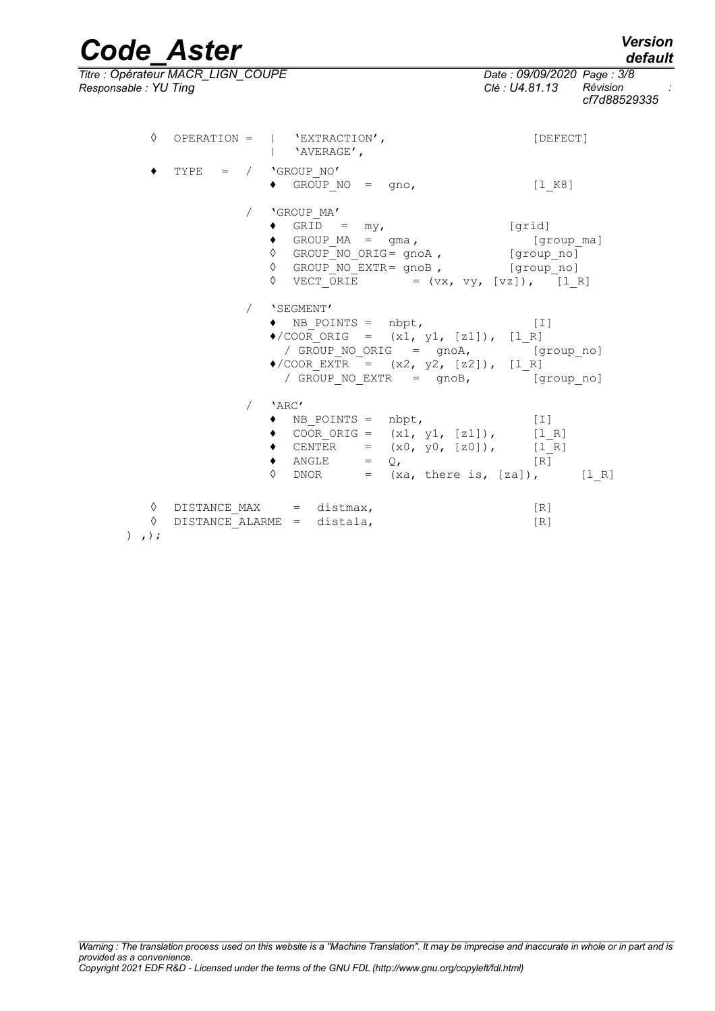*default*

*Code\_Aster Version Titre : Opérateur MACR\_LIGN\_COUPE Date : 09/09/2020 Page : 3/8*

*Responsable : YU Ting Clé : U4.81.13 Révision : cf7d88529335*

|             | ♦ |  | OPERATION = $ $ 'EXTRACTION',<br>  'AVERAGE',                                                                                                                                                                               | [DEFECT]                 |
|-------------|---|--|-----------------------------------------------------------------------------------------------------------------------------------------------------------------------------------------------------------------------------|--------------------------|
|             |   |  | TYPE = $/$ 'GROUP NO'<br>$\bullet$ GROUP_NO = gno,                                                                                                                                                                          | $[1_K8]$                 |
|             |   |  | / 'GROUP MA'<br>$\bullet$ GRID = my,<br>◆ GROUP_MA = gma,<br>◊ GROUP_NO_ORIG= gnoA, [group_no]<br>$\Diamond$ GROUP NO EXTR= gnoB, [group no]<br>$\sqrt{VECT}$ ORIE = $(vx, vy, [vz]), [l_R]$                                | [grid]                   |
|             |   |  | / 'SEGMENT'<br>$\bullet$ NB_POINTS = nbpt, [I]<br>$\bullet$ /COOR ORIG = $(x1, y1, [z1])$ , $[1_R]$<br>/ GROUP NO ORIG = gnoA, [group no]<br>◆/COOR_EXTR = $(x2, y2, [z2])$ , $[1_R]$<br>/ GROUP NO EXTR = gnoB, [group_no] |                          |
|             |   |  | $/$ 'ARC'<br>$\bullet$ NB POINTS = nbpt, [I]<br>• COOR_ORIG = $(x1, y1, [z1]),$ $[1_R]$<br>• CENTER = $(x0, y0, [z0])$ , $[1_R]$<br>$\bullet$ ANGLE = $Q$ ,<br>$\lozenge$ DNOR = $(xa, \text{ there is, } [za]),$ $[1_R]$   | [ <b>R</b> ]             |
| $)$ , $)$ ; | ♦ |  | $\begin{minipage}{0.9\linewidth} \texttt{DISTANCE}\_ \texttt{MAX} \quad = \texttt{distmax,} \end{minipage}$<br>$\Diamond$ DISTANCE ALARME = distala,                                                                        | $\lceil R \rceil$<br>[R] |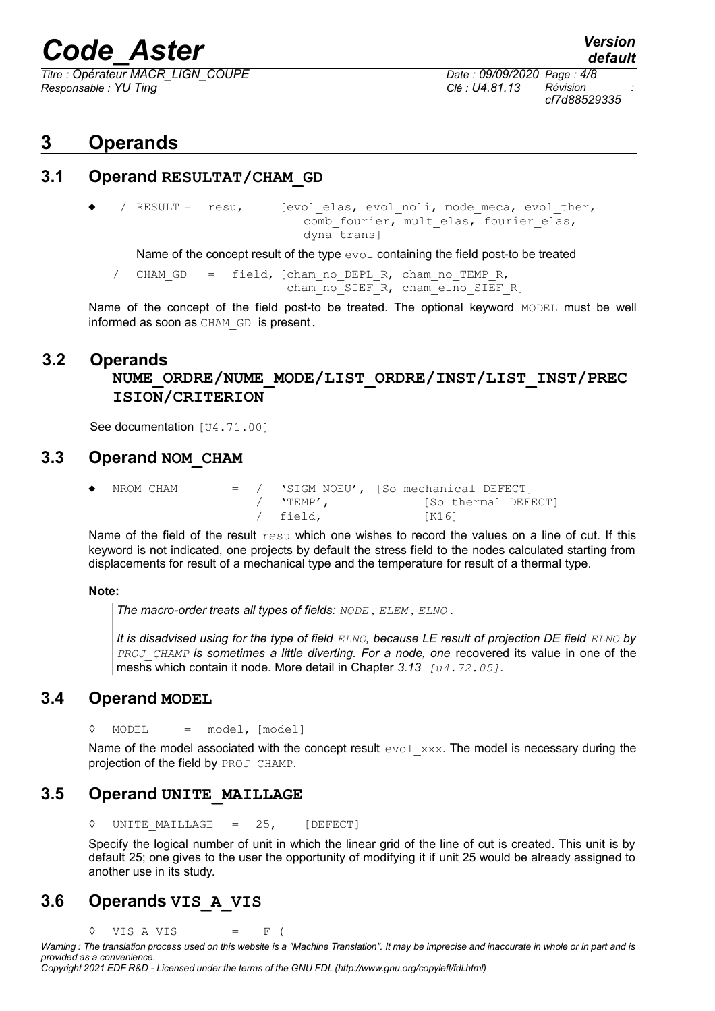*Titre : Opérateur MACR\_LIGN\_COUPE Date : 09/09/2020 Page : 4/8 Responsable : YU Ting Clé : U4.81.13 Révision :*

## **3 Operands**

### **3.1 Operand RESULTAT/CHAM\_GD**

/ RESULT = resu, [evol elas, evol noli, mode meca, evol ther, comb fourier, mult elas, fourier elas, dyna\_trans]

Name of the concept result of the type evol containing the field post-to be treated

/ CHAM GD = field, [cham no DEPL R, cham no TEMP R, cham\_no\_SIEF\_R, cham\_elno\_SIEF\_R]

Name of the concept of the field post-to be treated. The optional keyword MODEL must be well informed as soon as CHAM GD is present.

### **3.2 Operands**

## **NUME\_ORDRE/NUME\_MODE/LIST\_ORDRE/INST/LIST\_INST/PREC ISION/CRITERION**

See documentation [U4.71.00]

### **3.3 Operand NOM\_CHAM**

| ٠ | NROM CHAM |  |             | $=$ / $\cdot$ SIGM NOEU', [So mechanical DEFECT] |
|---|-----------|--|-------------|--------------------------------------------------|
|   |           |  | $/$ 'TEMP', | [So thermal DEFECT]                              |
|   |           |  | / field,    | [K16]                                            |

Name of the field of the result resu which one wishes to record the values on a line of cut. If this keyword is not indicated, one projects by default the stress field to the nodes calculated starting from displacements for result of a mechanical type and the temperature for result of a thermal type.

#### **Note:**

*The macro-order treats all types of fields: NODE , ELEM , ELNO .*

*It is disadvised using for the type of field ELNO, because LE result of projection DE field ELNO by PROJ\_CHAMP is sometimes a little diverting. For a node, one* recovered its value in one of the meshs which contain it node. More detail in Chapter *3.13 [u4.72.05]*.

## **3.4 Operand MODEL**

 $\Diamond$  MODEL = model, [model]

Name of the model associated with the concept result  $evol_{xxx}$ . The model is necessary during the projection of the field by PROJ CHAMP.

## **3.5 Operand UNITE\_MAILLAGE**

UNITE MAILLAGE =  $25$ , [DEFECT]

Specify the logical number of unit in which the linear grid of the line of cut is created. This unit is by default 25; one gives to the user the opportunity of modifying it if unit 25 would be already assigned to another use in its study.

## **3.6 Operands VIS\_A\_VIS**

 $\Diamond$  VIS A VIS = F (

*Copyright 2021 EDF R&D - Licensed under the terms of the GNU FDL (http://www.gnu.org/copyleft/fdl.html)*

*Warning : The translation process used on this website is a "Machine Translation". It may be imprecise and inaccurate in whole or in part and is provided as a convenience.*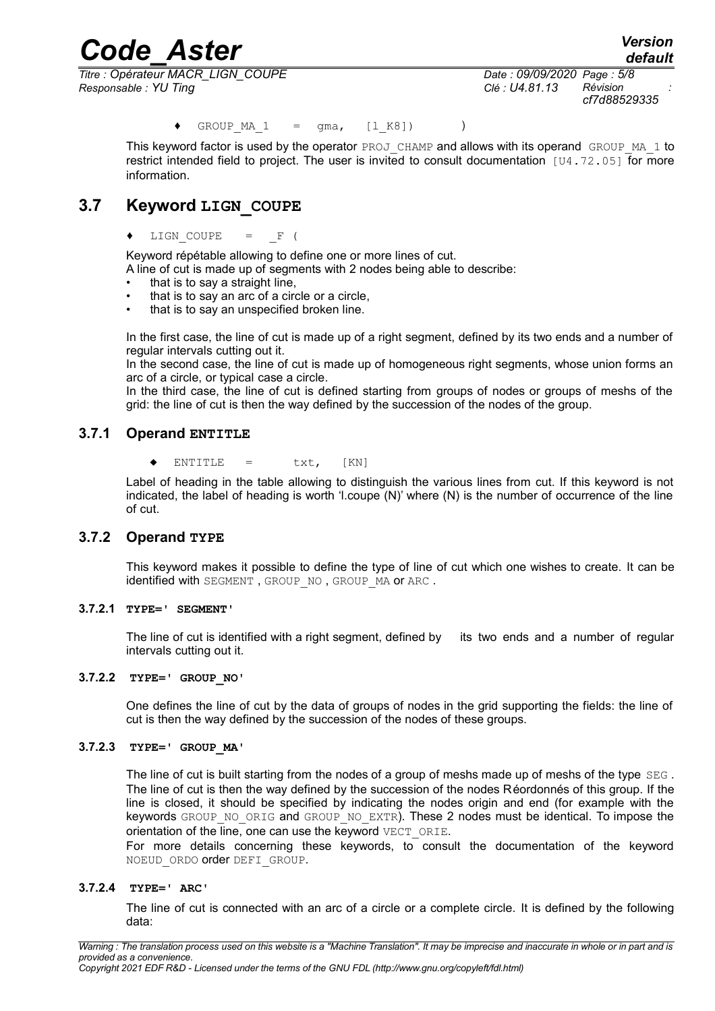*Titre : Opérateur MACR\_LIGN\_COUPE Date : 09/09/2020 Page : 5/8 Responsable : YU Ting Clé : U4.81.13 Révision :*

*cf7d88529335*

*default*

 $GROUPMA1 = qma, [lK8])$  )

This keyword factor is used by the operator PROJ\_CHAMP and allows with its operand GROUP\_MA\_1 to restrict intended field to project. The user is invited to consult documentation  $[U4.72.05]$  for more information.

## **3.7 Keyword LIGN\_COUPE**

#### ♦ LIGN\_COUPE = \_F (

Keyword répétable allowing to define one or more lines of cut.

A line of cut is made up of segments with 2 nodes being able to describe:

- that is to say a straight line,
- that is to say an arc of a circle or a circle,
- that is to say an unspecified broken line.

In the first case, the line of cut is made up of a right segment, defined by its two ends and a number of regular intervals cutting out it.

In the second case, the line of cut is made up of homogeneous right segments, whose union forms an arc of a circle, or typical case a circle.

In the third case, the line of cut is defined starting from groups of nodes or groups of meshs of the grid: the line of cut is then the way defined by the succession of the nodes of the group.

#### **3.7.1 Operand ENTITLE**

 $ENTITLE = txt, [KN]$ 

Label of heading in the table allowing to distinguish the various lines from cut. If this keyword is not indicated, the label of heading is worth 'l.coupe (N)' where (N) is the number of occurrence of the line of cut.

#### **3.7.2 Operand TYPE**

This keyword makes it possible to define the type of line of cut which one wishes to create. It can be identified with SEGMENT, GROUP NO, GROUP MA or ARC.

#### **3.7.2.1 TYPE=' SEGMENT'**

The line of cut is identified with a right segment, defined by its two ends and a number of regular intervals cutting out it.

#### **3.7.2.2 TYPE=' GROUP\_NO'**

One defines the line of cut by the data of groups of nodes in the grid supporting the fields: the line of cut is then the way defined by the succession of the nodes of these groups.

#### **3.7.2.3 TYPE=' GROUP\_MA'**

The line of cut is built starting from the nodes of a group of meshs made up of meshs of the type  $SEG$ . The line of cut is then the way defined by the succession of the nodes Réordonnés of this group. If the line is closed, it should be specified by indicating the nodes origin and end (for example with the keywords GROUP\_NO\_ORIG and GROUP\_NO\_EXTR). These 2 nodes must be identical. To impose the orientation of the line, one can use the keyword VECT ORIE.

For more details concerning these keywords, to consult the documentation of the keyword NOEUD\_ORDO order DEFI\_GROUP.

#### **3.7.2.4 TYPE=' ARC'**

The line of cut is connected with an arc of a circle or a complete circle. It is defined by the following data: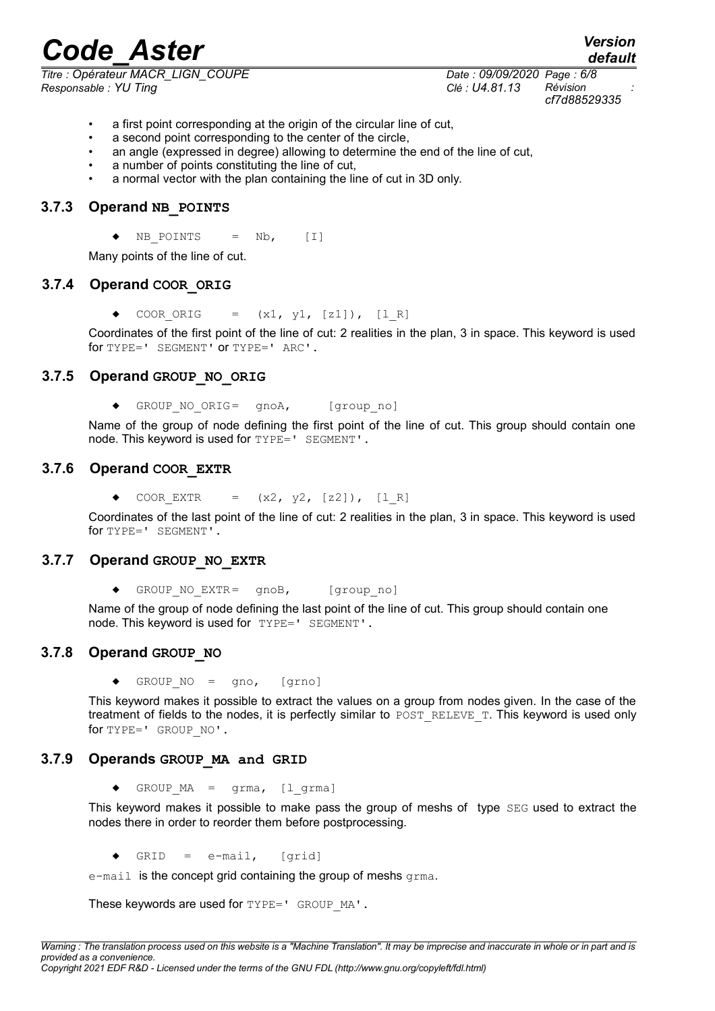*Titre : Opérateur MACR\_LIGN\_COUPE Date : 09/09/2020 Page : 6/8 Responsable : YU Ting Clé : U4.81.13 Révision :*

*cf7d88529335*

- a first point corresponding at the origin of the circular line of cut,
- a second point corresponding to the center of the circle,
- an angle (expressed in degree) allowing to determine the end of the line of cut,
- a number of points constituting the line of cut,
- a normal vector with the plan containing the line of cut in 3D only.

#### **3.7.3 Operand NB\_POINTS**

 $\blacklozenge$  NB POINTS = Nb, [I]

Many points of the line of cut.

#### **3.7.4 Operand COOR\_ORIG**

 $\bullet$  COOR ORIG = (x1, y1, [z1]), [1 R]

Coordinates of the first point of the line of cut: 2 realities in the plan, 3 in space. This keyword is used for TYPE=' SEGMENT' or TYPE=' ARC'.

#### **3.7.5 Operand GROUP\_NO\_ORIG**

♦ GROUP\_NO\_ORIG= gnoA, [group\_no]

Name of the group of node defining the first point of the line of cut. This group should contain one node. This keyword is used for TYPE=' SEGMENT'.

#### **3.7.6 Operand COOR\_EXTR**

COOR EXTR =  $(x2, y2, [z2])$ ,  $[1 R]$ 

Coordinates of the last point of the line of cut: 2 realities in the plan, 3 in space. This keyword is used for TYPE=' SEGMENT'.

#### **3.7.7 Operand GROUP\_NO\_EXTR**

GROUP NO EXTR=  $qnoB$ , [group no]

Name of the group of node defining the last point of the line of cut. This group should contain one node. This keyword is used for TYPE=' SEGMENT'.

#### **3.7.8 Operand GROUP\_NO**

♦ GROUP\_NO = gno, [grno]

This keyword makes it possible to extract the values on a group from nodes given. In the case of the treatment of fields to the nodes, it is perfectly similar to POST\_RELEVE\_T. This keyword is used only for TYPE=' GROUP\_NO'.

#### **3.7.9 Operands GROUP\_MA and GRID**

 $\triangleleft$  GROUP MA = grma, [l grma]

This keyword makes it possible to make pass the group of meshs of type SEG used to extract the nodes there in order to reorder them before postprocessing.

 $\triangleleft$  GRID = e-mail, [grid]

e-mail is the concept grid containing the group of meshs grma.

These keywords are used for TYPE=' GROUP MA'.

*default*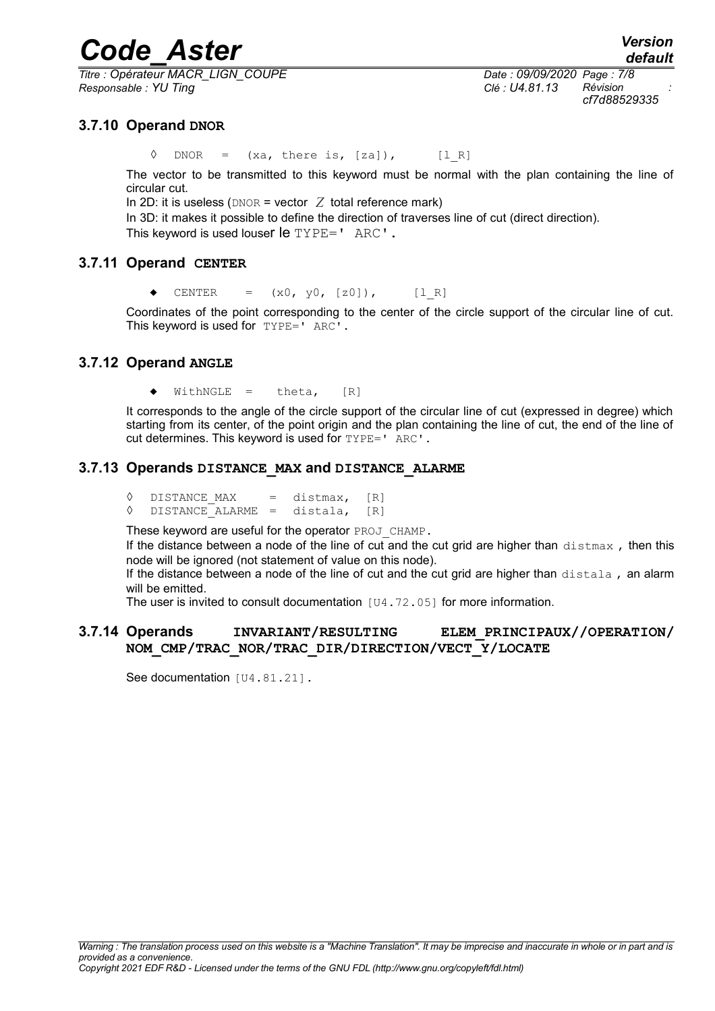*Titre : Opérateur MACR\_LIGN\_COUPE Date : 09/09/2020 Page : 7/8 Responsable : YU Ting Clé : U4.81.13 Révision :*

*cf7d88529335*

#### **3.7.10 Operand DNOR**

 $\Diamond$  DNOR = (xa, there is, [za]), [l R]

The vector to be transmitted to this keyword must be normal with the plan containing the line of circular cut.

In 2D: it is useless ( $DNOR = vector Z$  total reference mark)

In 3D: it makes it possible to define the direction of traverses line of cut (direct direction).

This keyword is used louser le TYPE=' ARC'.

#### **3.7.11 Operand CENTER**

 $\triangleleft$  CENTER =  $(x0, y0, [z0]),$  [1R]

Coordinates of the point corresponding to the center of the circle support of the circular line of cut. This keyword is used for TYPE=' ARC'.

#### **3.7.12 Operand ANGLE**

 $WithNGLE = that$ ,  $[R]$ 

It corresponds to the angle of the circle support of the circular line of cut (expressed in degree) which starting from its center, of the point origin and the plan containing the line of cut, the end of the line of cut determines. This keyword is used for TYPE=' ARC'.

#### **3.7.13 Operands DISTANCE\_MAX and DISTANCE\_ALARME**

- $\Diamond$  DISTANCE MAX = distmax,  $[R]$
- ◊ DISTANCE\_ALARME = distala, [R]

These keyword are useful for the operator PROJ\_CHAMP.

If the distance between a node of the line of cut and the cut grid are higher than  $distmax$ , then this node will be ignored (not statement of value on this node).

If the distance between a node of the line of cut and the cut grid are higher than distala, an alarm will be emitted.

The user is invited to consult documentation [U4.72.05] for more information.

#### **3.7.14 Operands INVARIANT/RESULTING ELEM\_PRINCIPAUX//OPERATION/ NOM\_CMP/TRAC\_NOR/TRAC\_DIR/DIRECTION/VECT\_Y/LOCATE**

See documentation [U4.81.21].